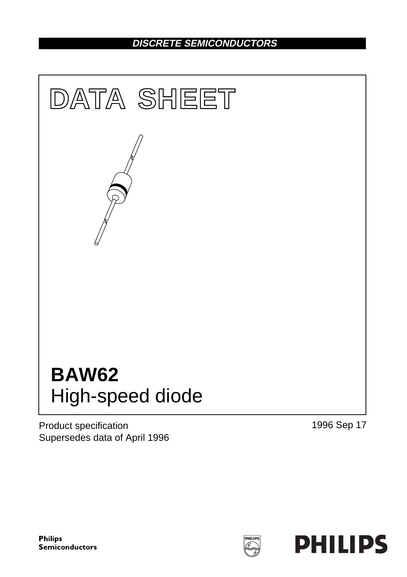# **DISCRETE SEMICONDUCTORS**



Product specification Supersedes data of April 1996 1996 Sep 17

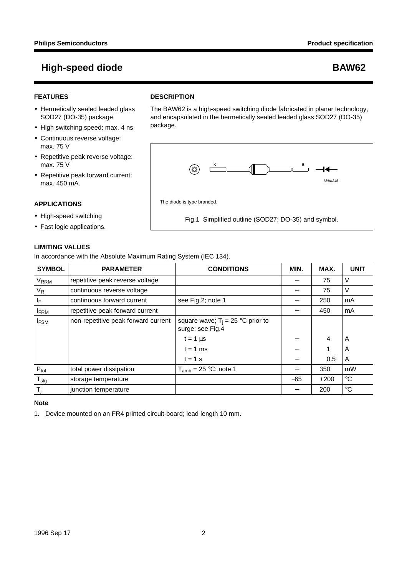MAM246

 $\overline{\phantom{a}}$ 

 $\overline{\phantom{a}}$ 

## **FEATURES**

- Hermetically sealed leaded glass SOD27 (DO-35) package
- High switching speed: max. 4 ns
- Continuous reverse voltage: max. 75 V
- Repetitive peak reverse voltage: max. 75 V
- Repetitive peak forward current: max. 450 mA.

### **APPLICATIONS**

- High-speed switching
- Fast logic applications.

## **LIMITING VALUES**

In accordance with the Absolute Maximum Rating System (IEC 134).

**DESCRIPTION**

The diode is type branded.

 $\circledcirc$ 

package.

The BAW62 is a high-speed switching diode fabricated in planar technology, and encapsulated in the hermetically sealed leaded glass SOD27 (DO-35)

k and a series and a series and a series of the series of the series of the series of the series of the series of the series of the series of the series of the series of the series of the series of the series of the series

Fig.1 Simplified outline (SOD27; DO-35) and symbol.

| <b>SYMBOL</b>             | <b>PARAMETER</b>                    | <b>CONDITIONS</b>                                       | MIN.  | MAX.   | <b>UNIT</b> |
|---------------------------|-------------------------------------|---------------------------------------------------------|-------|--------|-------------|
| <b>V<sub>RRM</sub></b>    | repetitive peak reverse voltage     |                                                         |       | 75     | V           |
| V <sub>R</sub>            | continuous reverse voltage          |                                                         |       | 75     | V           |
| ΙF                        | continuous forward current          | see Fig.2; note 1                                       |       | 250    | mA          |
| <b>IFRM</b>               | repetitive peak forward current     |                                                         |       | 450    | mA          |
| <b>I</b> FSM              | non-repetitive peak forward current | square wave; $T_i = 25$ °C prior to<br>surge; see Fig.4 |       |        |             |
|                           |                                     | $t = 1 \mu s$                                           |       | 4      | A           |
|                           |                                     | $t = 1$ ms                                              |       |        | A           |
|                           |                                     | $t = 1$ s                                               |       | 0.5    | A           |
| $P_{\text{tot}}$          | total power dissipation             | $T_{amb}$ = 25 °C; note 1                               |       | 350    | mW          |
| $\mathsf{T}_{\text{stg}}$ | storage temperature                 |                                                         | $-65$ | $+200$ | $^{\circ}C$ |
| $T_i$                     | junction temperature                |                                                         |       | 200    | $^{\circ}C$ |

## **Note**

1. Device mounted on an FR4 printed circuit-board; lead length 10 mm.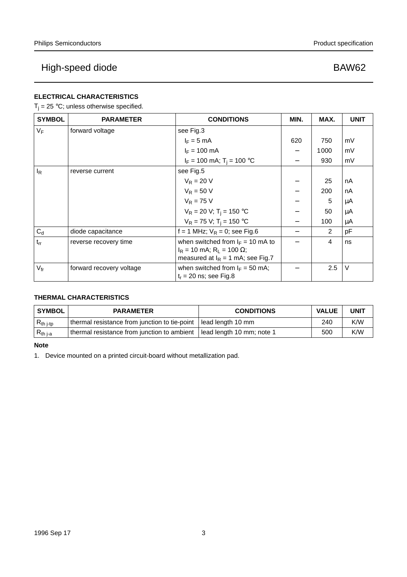## **ELECTRICAL CHARACTERISTICS**

 $T_i = 25 °C$ ; unless otherwise specified.

| <b>SYMBOL</b>   | <b>PARAMETER</b>         | <b>CONDITIONS</b>                                             | MIN. | MAX. | <b>UNIT</b> |
|-----------------|--------------------------|---------------------------------------------------------------|------|------|-------------|
| VF              | forward voltage          | see Fig.3                                                     |      |      |             |
|                 |                          | $I_F = 5$ mA                                                  | 620  | 750  | mV          |
|                 |                          | $I_F = 100$ mA                                                |      | 1000 | mV          |
|                 |                          | $I_F = 100$ mA; $T_i = 100$ °C                                |      | 930  | mV          |
| $I_R$           | reverse current          | see Fig.5                                                     |      |      |             |
|                 |                          | $V_R = 20 V$                                                  |      | 25   | nA          |
|                 |                          | $V_R = 50 V$                                                  |      | 200  | nA          |
|                 |                          | $V_R = 75 V$                                                  |      | 5    | μA          |
|                 |                          | $V_R = 20 V; T_i = 150 °C$                                    |      | 50   | μA          |
|                 |                          | $V_R = 75 V$ ; T <sub>i</sub> = 150 °C                        |      | 100  | μA          |
| $C_d$           | diode capacitance        | f = 1 MHz; $V_R$ = 0; see Fig.6                               |      | 2    | pF          |
| $t_{rr}$        | reverse recovery time    | when switched from $I_F = 10$ mA to                           |      | 4    | ns          |
|                 |                          | $I_R$ = 10 mA; R <sub>L</sub> = 100 Ω;                        |      |      |             |
|                 |                          | measured at $I_R = 1$ mA; see Fig.7                           |      |      |             |
| $V_{\text{fr}}$ | forward recovery voltage | when switched from $I_F = 50$ mA;<br>$t_r = 20$ ns; see Fig.8 |      | 2.5  | $\vee$      |
|                 |                          |                                                               |      |      |             |

## **THERMAL CHARACTERISTICS**

| <b>SYMBOL</b>  | <b>PARAMETER</b>                              | <b>CONDITIONS</b>           | <b>VALUE</b> | <b>UNIT</b> |
|----------------|-----------------------------------------------|-----------------------------|--------------|-------------|
| $R_{th\ j-tp}$ | thermal resistance from junction to tie-point | l lead length 10 mm         | 240          | K/W         |
| $R_{th j-a}$   | thermal resistance from junction to ambient   | l lead length 10 mm; note 1 | 500          | K/W         |

**Note**

1. Device mounted on a printed circuit-board without metallization pad.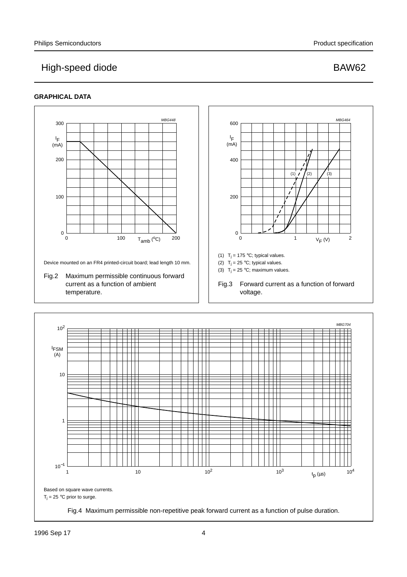## **GRAPHICAL DATA**

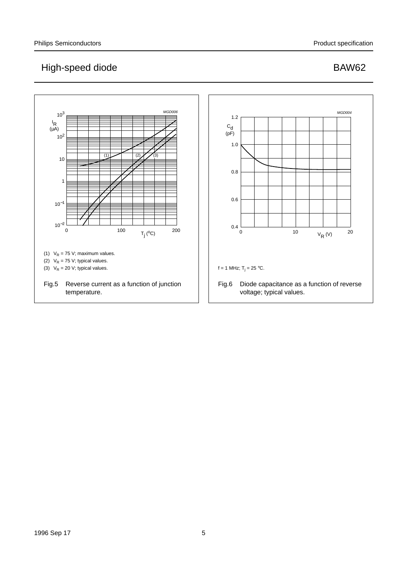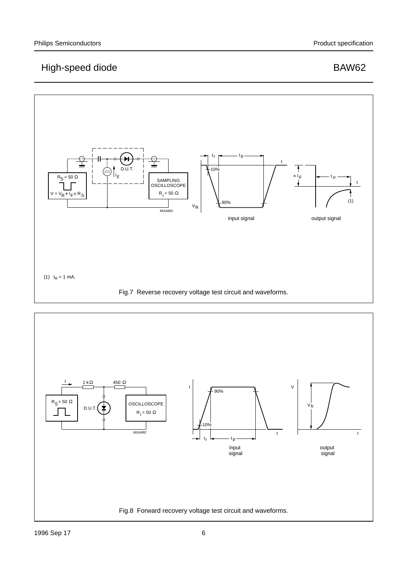